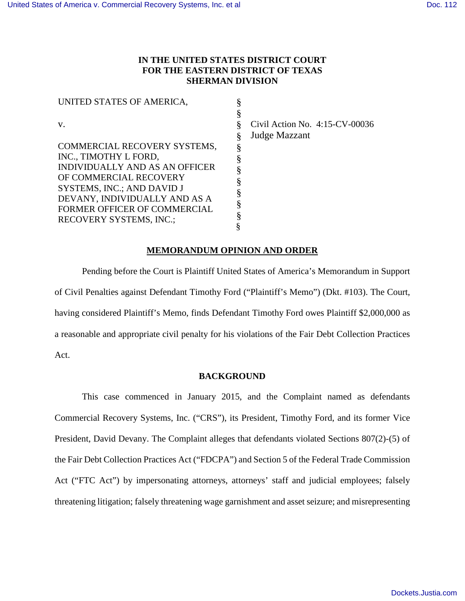# **IN THE UNITED STATES DISTRICT COURT FOR THE EASTERN DISTRICT OF TEXAS SHERMAN DIVISION**

| UNITED STATES OF AMERICA,      |                                |
|--------------------------------|--------------------------------|
|                                |                                |
| V.                             | Civil Action No. 4:15-CV-00036 |
|                                | Judge Mazzant                  |
| COMMERCIAL RECOVERY SYSTEMS,   |                                |
| INC., TIMOTHY L FORD,          |                                |
| INDIVIDUALLY AND AS AN OFFICER |                                |
| OF COMMERCIAL RECOVERY         |                                |
| SYSTEMS, INC.; AND DAVID J     |                                |
| DEVANY, INDIVIDUALLY AND AS A  |                                |
| FORMER OFFICER OF COMMERCIAL   |                                |
| <b>RECOVERY SYSTEMS, INC.;</b> |                                |
|                                |                                |

## **MEMORANDUM OPINION AND ORDER**

Pending before the Court is Plaintiff United States of America's Memorandum in Support of Civil Penalties against Defendant Timothy Ford ("Plaintiff's Memo") (Dkt. #103). The Court, having considered Plaintiff's Memo, finds Defendant Timothy Ford owes Plaintiff \$2,000,000 as a reasonable and appropriate civil penalty for his violations of the Fair Debt Collection Practices Act.

#### **BACKGROUND**

This case commenced in January 2015, and the Complaint named as defendants Commercial Recovery Systems, Inc. ("CRS"), its President, Timothy Ford, and its former Vice President, David Devany. The Complaint alleges that defendants violated Sections 807(2)-(5) of the Fair Debt Collection Practices Act ("FDCPA") and Section 5 of the Federal Trade Commission Act ("FTC Act") by impersonating attorneys, attorneys' staff and judicial employees; falsely threatening litigation; falsely threatening wage garnishment and asset seizure; and misrepresenting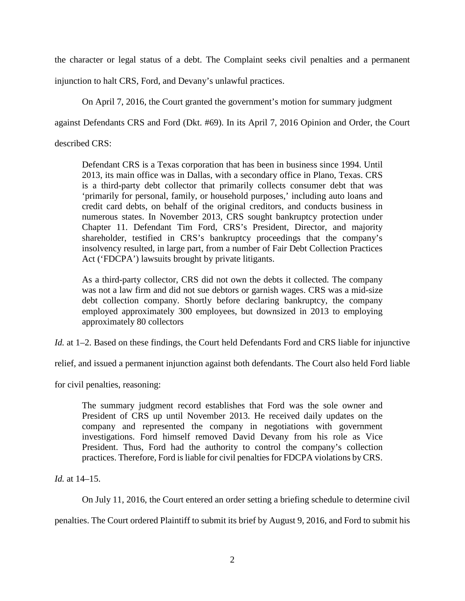the character or legal status of a debt. The Complaint seeks civil penalties and a permanent

injunction to halt CRS, Ford, and Devany's unlawful practices.

On April 7, 2016, the Court granted the government's motion for summary judgment

against Defendants CRS and Ford (Dkt. #69). In its April 7, 2016 Opinion and Order, the Court

described CRS:

Defendant CRS is a Texas corporation that has been in business since 1994. Until 2013, its main office was in Dallas, with a secondary office in Plano, Texas. CRS is a third-party debt collector that primarily collects consumer debt that was 'primarily for personal, family, or household purposes,' including auto loans and credit card debts, on behalf of the original creditors, and conducts business in numerous states. In November 2013, CRS sought bankruptcy protection under Chapter 11. Defendant Tim Ford, CRS's President, Director, and majority shareholder, testified in CRS's bankruptcy proceedings that the company's insolvency resulted, in large part, from a number of Fair Debt Collection Practices Act ('FDCPA') lawsuits brought by private litigants.

As a third-party collector, CRS did not own the debts it collected. The company was not a law firm and did not sue debtors or garnish wages. CRS was a mid-size debt collection company. Shortly before declaring bankruptcy, the company employed approximately 300 employees, but downsized in 2013 to employing approximately 80 collectors

*Id.* at 1–2. Based on these findings, the Court held Defendants Ford and CRS liable for injunctive

relief, and issued a permanent injunction against both defendants. The Court also held Ford liable

for civil penalties, reasoning:

The summary judgment record establishes that Ford was the sole owner and President of CRS up until November 2013. He received daily updates on the company and represented the company in negotiations with government investigations. Ford himself removed David Devany from his role as Vice President. Thus, Ford had the authority to control the company's collection practices. Therefore, Ford is liable for civil penalties for FDCPA violations by CRS.

*Id.* at 14–15.

On July 11, 2016, the Court entered an order setting a briefing schedule to determine civil

penalties. The Court ordered Plaintiff to submit its brief by August 9, 2016, and Ford to submit his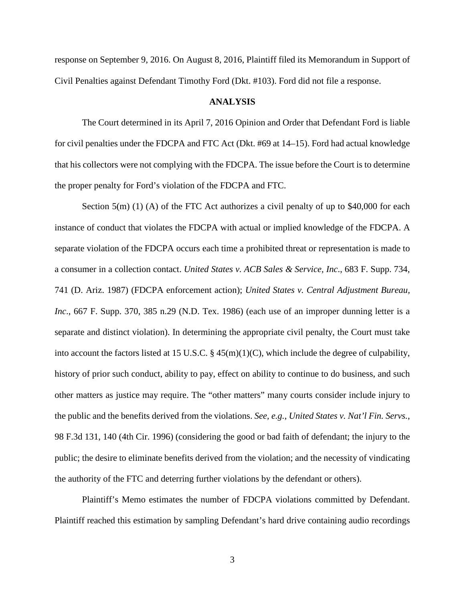response on September 9, 2016. On August 8, 2016, Plaintiff filed its Memorandum in Support of Civil Penalties against Defendant Timothy Ford (Dkt. #103). Ford did not file a response.

## **ANALYSIS**

The Court determined in its April 7, 2016 Opinion and Order that Defendant Ford is liable for civil penalties under the FDCPA and FTC Act (Dkt. #69 at 14–15). Ford had actual knowledge that his collectors were not complying with the FDCPA. The issue before the Court is to determine the proper penalty for Ford's violation of the FDCPA and FTC.

Section 5(m) (1) (A) of the FTC Act authorizes a civil penalty of up to  $$40,000$  for each instance of conduct that violates the FDCPA with actual or implied knowledge of the FDCPA. A separate violation of the FDCPA occurs each time a prohibited threat or representation is made to a consumer in a collection contact. *United States v. ACB Sales & Service, Inc*., 683 F. Supp. 734, 741 (D. Ariz. 1987) (FDCPA enforcement action); *United States v. Central Adjustment Bureau, Inc*., 667 F. Supp. 370, 385 n.29 (N.D. Tex. 1986) (each use of an improper dunning letter is a separate and distinct violation). In determining the appropriate civil penalty, the Court must take into account the factors listed at 15 U.S.C. § 45(m)(1)(C), which include the degree of culpability, history of prior such conduct, ability to pay, effect on ability to continue to do business, and such other matters as justice may require. The "other matters" many courts consider include injury to the public and the benefits derived from the violations. *See, e.g.*, *United States v. Nat'l Fin. Servs.*, 98 F.3d 131, 140 (4th Cir. 1996) (considering the good or bad faith of defendant; the injury to the public; the desire to eliminate benefits derived from the violation; and the necessity of vindicating the authority of the FTC and deterring further violations by the defendant or others).

Plaintiff's Memo estimates the number of FDCPA violations committed by Defendant. Plaintiff reached this estimation by sampling Defendant's hard drive containing audio recordings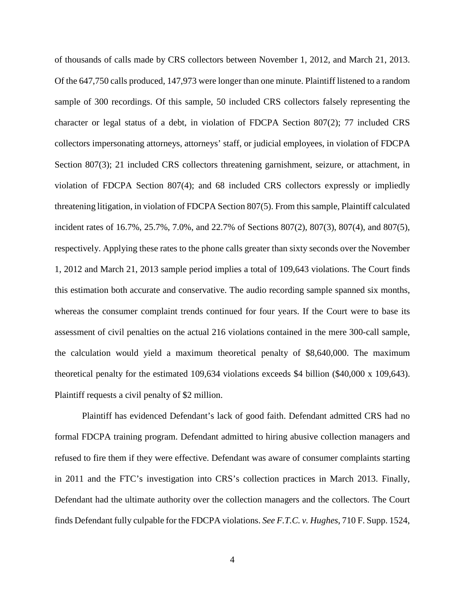of thousands of calls made by CRS collectors between November 1, 2012, and March 21, 2013. Of the 647,750 calls produced, 147,973 were longer than one minute. Plaintiff listened to a random sample of 300 recordings. Of this sample, 50 included CRS collectors falsely representing the character or legal status of a debt, in violation of FDCPA Section 807(2); 77 included CRS collectors impersonating attorneys, attorneys' staff, or judicial employees, in violation of FDCPA Section 807(3); 21 included CRS collectors threatening garnishment, seizure, or attachment, in violation of FDCPA Section 807(4); and 68 included CRS collectors expressly or impliedly threatening litigation, in violation of FDCPA Section 807(5). From this sample, Plaintiff calculated incident rates of 16.7%, 25.7%, 7.0%, and 22.7% of Sections 807(2), 807(3), 807(4), and 807(5), respectively. Applying these rates to the phone calls greater than sixty seconds over the November 1, 2012 and March 21, 2013 sample period implies a total of 109,643 violations. The Court finds this estimation both accurate and conservative. The audio recording sample spanned six months, whereas the consumer complaint trends continued for four years. If the Court were to base its assessment of civil penalties on the actual 216 violations contained in the mere 300-call sample, the calculation would yield a maximum theoretical penalty of \$8,640,000. The maximum theoretical penalty for the estimated 109,634 violations exceeds \$4 billion (\$40,000 x 109,643). Plaintiff requests a civil penalty of \$2 million.

Plaintiff has evidenced Defendant's lack of good faith. Defendant admitted CRS had no formal FDCPA training program. Defendant admitted to hiring abusive collection managers and refused to fire them if they were effective. Defendant was aware of consumer complaints starting in 2011 and the FTC's investigation into CRS's collection practices in March 2013. Finally, Defendant had the ultimate authority over the collection managers and the collectors. The Court finds Defendant fully culpable for the FDCPA violations. *See F.T.C. v. Hughes*, 710 F. Supp. 1524,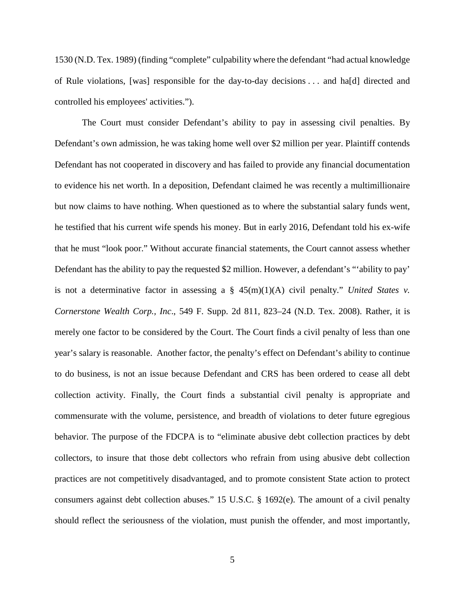1530 (N.D. Tex. 1989) (finding "complete" culpability where the defendant "had actual knowledge of Rule violations, [was] responsible for the day-to-day decisions . . . and ha[d] directed and controlled his employees' activities.").

The Court must consider Defendant's ability to pay in assessing civil penalties. By Defendant's own admission, he was taking home well over \$2 million per year. Plaintiff contends Defendant has not cooperated in discovery and has failed to provide any financial documentation to evidence his net worth. In a deposition, Defendant claimed he was recently a multimillionaire but now claims to have nothing. When questioned as to where the substantial salary funds went, he testified that his current wife spends his money. But in early 2016, Defendant told his ex-wife that he must "look poor." Without accurate financial statements, the Court cannot assess whether Defendant has the ability to pay the requested \$2 million. However, a defendant's "'ability to pay' is not a determinative factor in assessing a  $\S$  45(m)(1)(A) civil penalty." *United States v. Cornerstone Wealth Corp., Inc*., 549 F. Supp. 2d 811, 823–24 (N.D. Tex. 2008). Rather, it is merely one factor to be considered by the Court. The Court finds a civil penalty of less than one year's salary is reasonable. Another factor, the penalty's effect on Defendant's ability to continue to do business, is not an issue because Defendant and CRS has been ordered to cease all debt collection activity. Finally, the Court finds a substantial civil penalty is appropriate and commensurate with the volume, persistence, and breadth of violations to deter future egregious behavior. The purpose of the FDCPA is to "eliminate abusive debt collection practices by debt collectors, to insure that those debt collectors who refrain from using abusive debt collection practices are not competitively disadvantaged, and to promote consistent State action to protect consumers against debt collection abuses." 15 U.S.C. § 1692(e). The amount of a civil penalty should reflect the seriousness of the violation, must punish the offender, and most importantly,